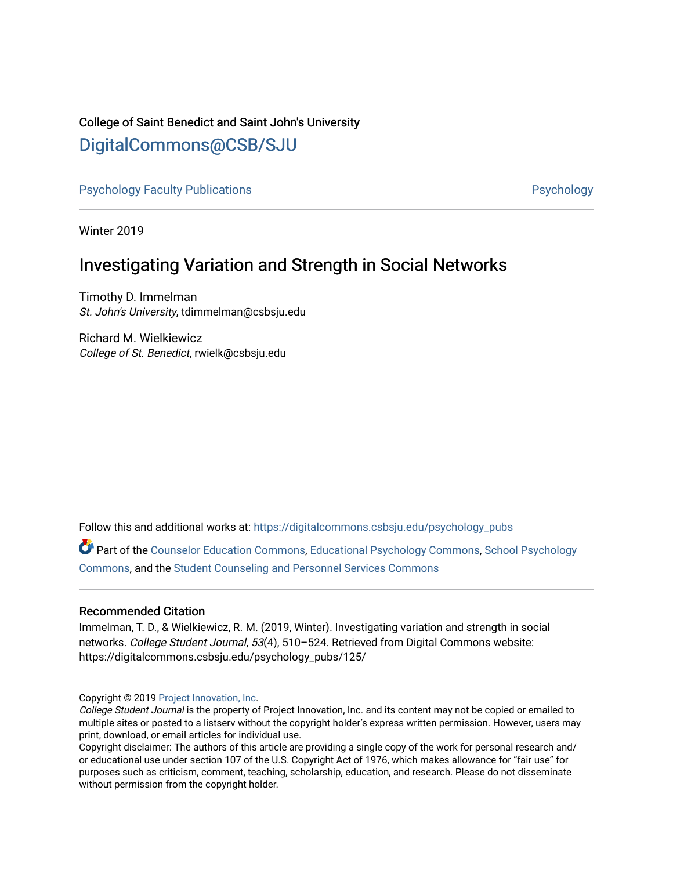## College of Saint Benedict and Saint John's University

# [DigitalCommons@CSB/SJU](https://digitalcommons.csbsju.edu/)

[Psychology Faculty Publications](https://digitalcommons.csbsju.edu/psychology_pubs) **Provides** [Psychology](https://digitalcommons.csbsju.edu/psychology) **Psychology** 

Winter 2019

# Investigating Variation and Strength in Social Networks

Timothy D. Immelman St. John's University, tdimmelman@csbsju.edu

Richard M. Wielkiewicz College of St. Benedict, rwielk@csbsju.edu

Follow this and additional works at: [https://digitalcommons.csbsju.edu/psychology\\_pubs](https://digitalcommons.csbsju.edu/psychology_pubs?utm_source=digitalcommons.csbsju.edu%2Fpsychology_pubs%2F125&utm_medium=PDF&utm_campaign=PDFCoverPages) 

Part of the [Counselor Education Commons,](http://network.bepress.com/hgg/discipline/1278?utm_source=digitalcommons.csbsju.edu%2Fpsychology_pubs%2F125&utm_medium=PDF&utm_campaign=PDFCoverPages) [Educational Psychology Commons,](http://network.bepress.com/hgg/discipline/798?utm_source=digitalcommons.csbsju.edu%2Fpsychology_pubs%2F125&utm_medium=PDF&utm_campaign=PDFCoverPages) [School Psychology](http://network.bepress.com/hgg/discipline/1072?utm_source=digitalcommons.csbsju.edu%2Fpsychology_pubs%2F125&utm_medium=PDF&utm_campaign=PDFCoverPages) [Commons](http://network.bepress.com/hgg/discipline/1072?utm_source=digitalcommons.csbsju.edu%2Fpsychology_pubs%2F125&utm_medium=PDF&utm_campaign=PDFCoverPages), and the [Student Counseling and Personnel Services Commons](http://network.bepress.com/hgg/discipline/802?utm_source=digitalcommons.csbsju.edu%2Fpsychology_pubs%2F125&utm_medium=PDF&utm_campaign=PDFCoverPages) 

## Recommended Citation

Immelman, T. D., & Wielkiewicz, R. M. (2019, Winter). Investigating variation and strength in social networks. College Student Journal, 53(4), 510–524. Retrieved from Digital Commons website: https://digitalcommons.csbsju.edu/psychology\_pubs/125/

Copyright © 2019 [Project Innovation, Inc.](https://www.projectinnovation.com/)

College Student Journal is the property of Project Innovation, Inc. and its content may not be copied or emailed to multiple sites or posted to a listserv without the copyright holder's express written permission. However, users may print, download, or email articles for individual use.

Copyright disclaimer: The authors of this article are providing a single copy of the work for personal research and/ or educational use under section 107 of the U.S. Copyright Act of 1976, which makes allowance for "fair use" for purposes such as criticism, comment, teaching, scholarship, education, and research. Please do not disseminate without permission from the copyright holder.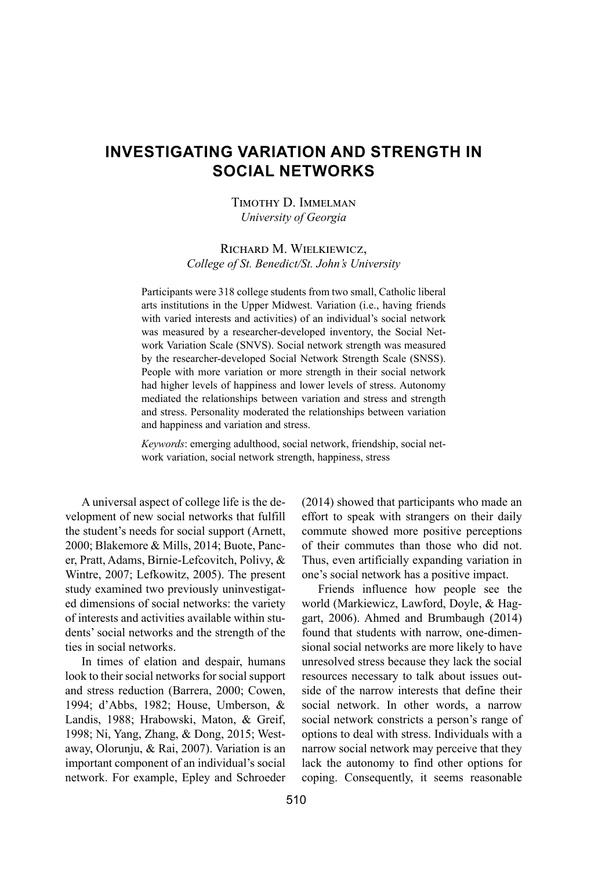## **Investigating Variation and Strength in Social Networks**

## Timothy D. Immelman *University of Georgia*

## Richard M. Wielkiewicz, *College of St. Benedict/St. John's University*

Participants were 318 college students from two small, Catholic liberal arts institutions in the Upper Midwest. Variation (i.e., having friends with varied interests and activities) of an individual's social network was measured by a researcher-developed inventory, the Social Network Variation Scale (SNVS). Social network strength was measured by the researcher-developed Social Network Strength Scale (SNSS). People with more variation or more strength in their social network had higher levels of happiness and lower levels of stress. Autonomy mediated the relationships between variation and stress and strength and stress. Personality moderated the relationships between variation and happiness and variation and stress.

*Keywords*: emerging adulthood, social network, friendship, social network variation, social network strength, happiness, stress

A universal aspect of college life is the development of new social networks that fulfill the student's needs for social support (Arnett, 2000; Blakemore & Mills, 2014; Buote, Pancer, Pratt, Adams, Birnie-Lefcovitch, Polivy, & Wintre, 2007; Lefkowitz, 2005). The present study examined two previously uninvestigated dimensions of social networks: the variety of interests and activities available within students' social networks and the strength of the ties in social networks.

In times of elation and despair, humans look to their social networks for social support and stress reduction (Barrera, 2000; Cowen, 1994; d'Abbs, 1982; House, Umberson, & Landis, 1988; Hrabowski, Maton, & Greif, 1998; Ni, Yang, Zhang, & Dong, 2015; Westaway, Olorunju, & Rai, 2007). Variation is an important component of an individual's social network. For example, Epley and Schroeder (2014) showed that participants who made an effort to speak with strangers on their daily commute showed more positive perceptions of their commutes than those who did not. Thus, even artificially expanding variation in one's social network has a positive impact.

Friends influence how people see the world (Markiewicz, Lawford, Doyle, & Haggart, 2006). Ahmed and Brumbaugh (2014) found that students with narrow, one-dimensional social networks are more likely to have unresolved stress because they lack the social resources necessary to talk about issues outside of the narrow interests that define their social network. In other words, a narrow social network constricts a person's range of options to deal with stress. Individuals with a narrow social network may perceive that they lack the autonomy to find other options for coping. Consequently, it seems reasonable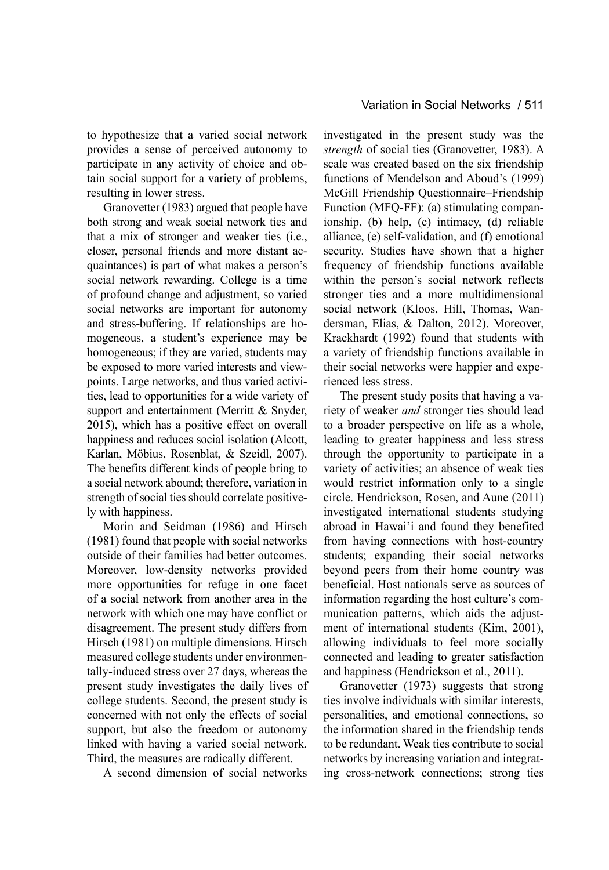to hypothesize that a varied social network provides a sense of perceived autonomy to participate in any activity of choice and obtain social support for a variety of problems, resulting in lower stress.

Granovetter (1983) argued that people have both strong and weak social network ties and that a mix of stronger and weaker ties (i.e., closer, personal friends and more distant acquaintances) is part of what makes a person's social network rewarding. College is a time of profound change and adjustment, so varied social networks are important for autonomy and stress-buffering. If relationships are homogeneous, a student's experience may be homogeneous; if they are varied, students may be exposed to more varied interests and viewpoints. Large networks, and thus varied activities, lead to opportunities for a wide variety of support and entertainment (Merritt & Snyder, 2015), which has a positive effect on overall happiness and reduces social isolation (Alcott, Karlan, Möbius, Rosenblat, & Szeidl, 2007). The benefits different kinds of people bring to a social network abound; therefore, variation in strength of social ties should correlate positively with happiness.

Morin and Seidman (1986) and Hirsch (1981) found that people with social networks outside of their families had better outcomes. Moreover, low-density networks provided more opportunities for refuge in one facet of a social network from another area in the network with which one may have conflict or disagreement. The present study differs from Hirsch (1981) on multiple dimensions. Hirsch measured college students under environmentally-induced stress over 27 days, whereas the present study investigates the daily lives of college students. Second, the present study is concerned with not only the effects of social support, but also the freedom or autonomy linked with having a varied social network. Third, the measures are radically different.

A second dimension of social networks

investigated in the present study was the *strength* of social ties (Granovetter, 1983). A scale was created based on the six friendship functions of Mendelson and Aboud's (1999) McGill Friendship Questionnaire–Friendship Function (MFQ-FF): (a) stimulating companionship, (b) help, (c) intimacy, (d) reliable alliance, (e) self-validation, and (f) emotional security. Studies have shown that a higher frequency of friendship functions available within the person's social network reflects stronger ties and a more multidimensional social network (Kloos, Hill, Thomas, Wandersman, Elias, & Dalton, 2012). Moreover, Krackhardt (1992) found that students with a variety of friendship functions available in their social networks were happier and experienced less stress.

The present study posits that having a variety of weaker *and* stronger ties should lead to a broader perspective on life as a whole, leading to greater happiness and less stress through the opportunity to participate in a variety of activities; an absence of weak ties would restrict information only to a single circle. Hendrickson, Rosen, and Aune (2011) investigated international students studying abroad in Hawai'i and found they benefited from having connections with host-country students; expanding their social networks beyond peers from their home country was beneficial. Host nationals serve as sources of information regarding the host culture's communication patterns, which aids the adjustment of international students (Kim, 2001), allowing individuals to feel more socially connected and leading to greater satisfaction and happiness (Hendrickson et al., 2011).

Granovetter (1973) suggests that strong ties involve individuals with similar interests, personalities, and emotional connections, so the information shared in the friendship tends to be redundant. Weak ties contribute to social networks by increasing variation and integrating cross-network connections; strong ties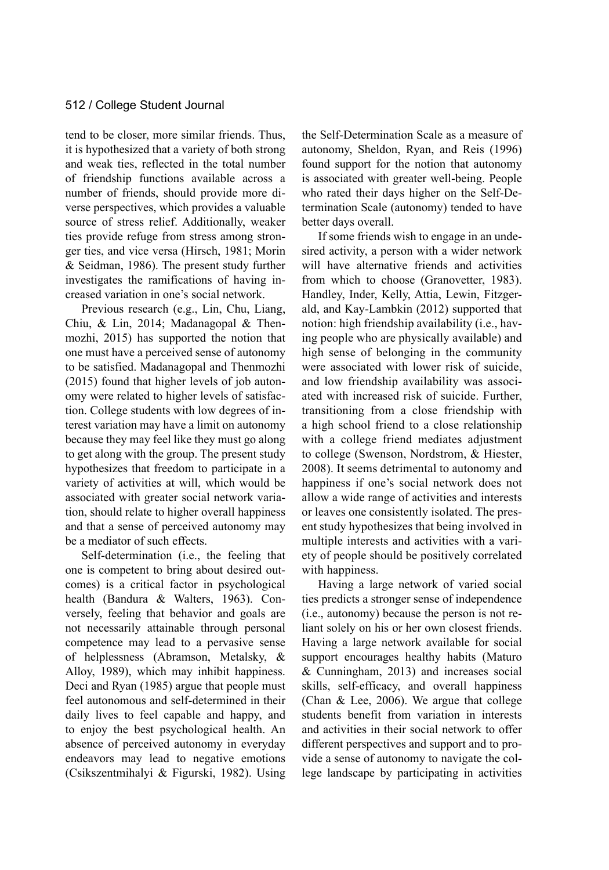tend to be closer, more similar friends. Thus, it is hypothesized that a variety of both strong and weak ties, reflected in the total number of friendship functions available across a number of friends, should provide more diverse perspectives, which provides a valuable source of stress relief. Additionally, weaker ties provide refuge from stress among stronger ties, and vice versa (Hirsch, 1981; Morin & Seidman, 1986). The present study further investigates the ramifications of having increased variation in one's social network.

Previous research (e.g., Lin, Chu, Liang, Chiu, & Lin, 2014; Madanagopal & Thenmozhi, 2015) has supported the notion that one must have a perceived sense of autonomy to be satisfied. Madanagopal and Thenmozhi (2015) found that higher levels of job autonomy were related to higher levels of satisfaction. College students with low degrees of interest variation may have a limit on autonomy because they may feel like they must go along to get along with the group. The present study hypothesizes that freedom to participate in a variety of activities at will, which would be associated with greater social network variation, should relate to higher overall happiness and that a sense of perceived autonomy may be a mediator of such effects.

Self-determination (i.e., the feeling that one is competent to bring about desired outcomes) is a critical factor in psychological health (Bandura & Walters, 1963). Conversely, feeling that behavior and goals are not necessarily attainable through personal competence may lead to a pervasive sense of helplessness (Abramson, Metalsky, & Alloy, 1989), which may inhibit happiness. Deci and Ryan (1985) argue that people must feel autonomous and self-determined in their daily lives to feel capable and happy, and to enjoy the best psychological health. An absence of perceived autonomy in everyday endeavors may lead to negative emotions (Csikszentmihalyi & Figurski, 1982). Using the Self-Determination Scale as a measure of autonomy, Sheldon, Ryan, and Reis (1996) found support for the notion that autonomy is associated with greater well-being. People who rated their days higher on the Self-Determination Scale (autonomy) tended to have better days overall.

If some friends wish to engage in an undesired activity, a person with a wider network will have alternative friends and activities from which to choose (Granovetter, 1983). Handley, Inder, Kelly, Attia, Lewin, Fitzgerald, and Kay-Lambkin (2012) supported that notion: high friendship availability (i.e., having people who are physically available) and high sense of belonging in the community were associated with lower risk of suicide, and low friendship availability was associated with increased risk of suicide. Further, transitioning from a close friendship with a high school friend to a close relationship with a college friend mediates adjustment to college (Swenson, Nordstrom, & Hiester, 2008). It seems detrimental to autonomy and happiness if one's social network does not allow a wide range of activities and interests or leaves one consistently isolated. The present study hypothesizes that being involved in multiple interests and activities with a variety of people should be positively correlated with happiness.

Having a large network of varied social ties predicts a stronger sense of independence (i.e., autonomy) because the person is not reliant solely on his or her own closest friends. Having a large network available for social support encourages healthy habits (Maturo & Cunningham, 2013) and increases social skills, self-efficacy, and overall happiness (Chan & Lee, 2006). We argue that college students benefit from variation in interests and activities in their social network to offer different perspectives and support and to provide a sense of autonomy to navigate the college landscape by participating in activities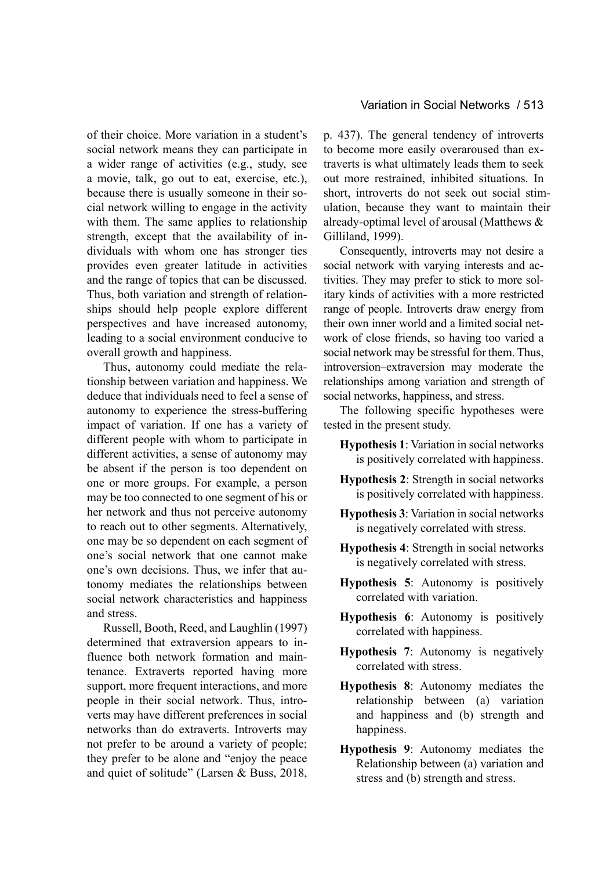of their choice. More variation in a student's social network means they can participate in a wider range of activities (e.g., study, see a movie, talk, go out to eat, exercise, etc.), because there is usually someone in their social network willing to engage in the activity with them. The same applies to relationship strength, except that the availability of individuals with whom one has stronger ties provides even greater latitude in activities and the range of topics that can be discussed. Thus, both variation and strength of relationships should help people explore different perspectives and have increased autonomy, leading to a social environment conducive to overall growth and happiness.

Thus, autonomy could mediate the relationship between variation and happiness. We deduce that individuals need to feel a sense of autonomy to experience the stress-buffering impact of variation. If one has a variety of different people with whom to participate in different activities, a sense of autonomy may be absent if the person is too dependent on one or more groups. For example, a person may be too connected to one segment of his or her network and thus not perceive autonomy to reach out to other segments. Alternatively, one may be so dependent on each segment of one's social network that one cannot make one's own decisions. Thus, we infer that autonomy mediates the relationships between social network characteristics and happiness and stress.

Russell, Booth, Reed, and Laughlin (1997) determined that extraversion appears to influence both network formation and maintenance. Extraverts reported having more support, more frequent interactions, and more people in their social network. Thus, introverts may have different preferences in social networks than do extraverts. Introverts may not prefer to be around a variety of people; they prefer to be alone and "enjoy the peace and quiet of solitude" (Larsen & Buss, 2018, p. 437). The general tendency of introverts to become more easily overaroused than extraverts is what ultimately leads them to seek out more restrained, inhibited situations. In short, introverts do not seek out social stimulation, because they want to maintain their already-optimal level of arousal (Matthews & Gilliland, 1999).

Consequently, introverts may not desire a social network with varying interests and activities. They may prefer to stick to more solitary kinds of activities with a more restricted range of people. Introverts draw energy from their own inner world and a limited social network of close friends, so having too varied a social network may be stressful for them. Thus, introversion–extraversion may moderate the relationships among variation and strength of social networks, happiness, and stress.

The following specific hypotheses were tested in the present study.

- **Hypothesis 1**: Variation in social networks is positively correlated with happiness.
- **Hypothesis 2**: Strength in social networks is positively correlated with happiness.
- **Hypothesis 3**: Variation in social networks is negatively correlated with stress.
- **Hypothesis 4**: Strength in social networks is negatively correlated with stress.
- **Hypothesis 5**: Autonomy is positively correlated with variation.
- **Hypothesis 6**: Autonomy is positively correlated with happiness.
- **Hypothesis 7**: Autonomy is negatively correlated with stress.
- **Hypothesis 8**: Autonomy mediates the relationship between (a) variation and happiness and (b) strength and happiness.
- **Hypothesis 9**: Autonomy mediates the Relationship between (a) variation and stress and (b) strength and stress.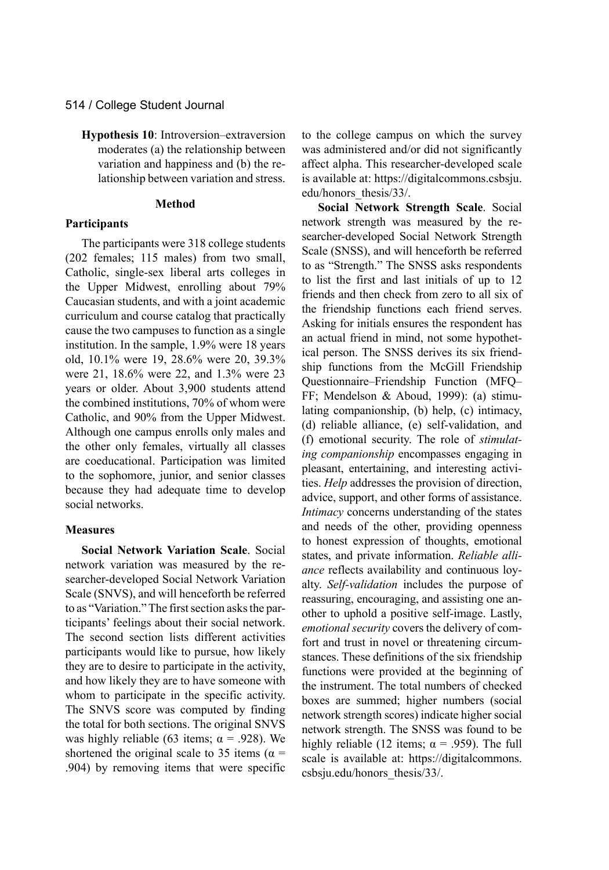**Hypothesis 10**: Introversion–extraversion moderates (a) the relationship between variation and happiness and (b) the relationship between variation and stress.

#### **Method**

#### **Participants**

The participants were 318 college students (202 females; 115 males) from two small, Catholic, single-sex liberal arts colleges in the Upper Midwest, enrolling about 79% Caucasian students, and with a joint academic curriculum and course catalog that practically cause the two campuses to function as a single institution. In the sample, 1.9% were 18 years old, 10.1% were 19, 28.6% were 20, 39.3% were 21, 18.6% were 22, and 1.3% were 23 years or older. About 3,900 students attend the combined institutions, 70% of whom were Catholic, and 90% from the Upper Midwest. Although one campus enrolls only males and the other only females, virtually all classes are coeducational. Participation was limited to the sophomore, junior, and senior classes because they had adequate time to develop social networks.

#### **Measures**

**Social Network Variation Scale**. Social network variation was measured by the researcher-developed Social Network Variation Scale (SNVS), and will henceforth be referred to as "Variation." The first section asks the participants' feelings about their social network. The second section lists different activities participants would like to pursue, how likely they are to desire to participate in the activity, and how likely they are to have someone with whom to participate in the specific activity. The SNVS score was computed by finding the total for both sections. The original SNVS was highly reliable (63 items;  $\alpha$  = .928). We shortened the original scale to 35 items ( $\alpha$  = .904) by removing items that were specific to the college campus on which the survey was administered and/or did not significantly affect alpha. This researcher-developed scale is available at: https://digitalcommons.csbsju. edu/honors\_thesis/33/.

**Social Network Strength Scale**. Social network strength was measured by the researcher-developed Social Network Strength Scale (SNSS), and will henceforth be referred to as "Strength." The SNSS asks respondents to list the first and last initials of up to 12 friends and then check from zero to all six of the friendship functions each friend serves. Asking for initials ensures the respondent has an actual friend in mind, not some hypothetical person. The SNSS derives its six friendship functions from the McGill Friendship Questionnaire–Friendship Function (MFQ– FF; Mendelson & Aboud, 1999): (a) stimulating companionship, (b) help, (c) intimacy, (d) reliable alliance, (e) self-validation, and (f) emotional security. The role of *stimulating companionship* encompasses engaging in pleasant, entertaining, and interesting activities. *Help* addresses the provision of direction, advice, support, and other forms of assistance. *Intimacy* concerns understanding of the states and needs of the other, providing openness to honest expression of thoughts, emotional states, and private information. *Reliable alliance* reflects availability and continuous loyalty. *Self-validation* includes the purpose of reassuring, encouraging, and assisting one another to uphold a positive self-image. Lastly, *emotional security* covers the delivery of comfort and trust in novel or threatening circumstances. These definitions of the six friendship functions were provided at the beginning of the instrument. The total numbers of checked boxes are summed; higher numbers (social network strength scores) indicate higher social network strength. The SNSS was found to be highly reliable (12 items;  $\alpha$  = .959). The full scale is available at: https://digitalcommons. csbsju.edu/honors\_thesis/33/.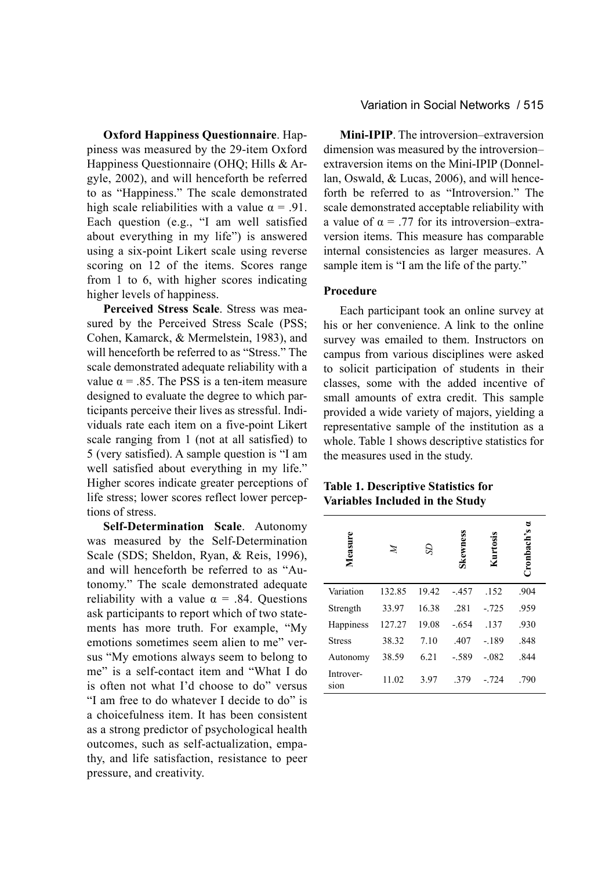**Oxford Happiness Questionnaire**. Happiness was measured by the 29-item Oxford Happiness Questionnaire (OHQ; Hills & Argyle, 2002), and will henceforth be referred to as "Happiness." The scale demonstrated high scale reliabilities with a value  $\alpha = .91$ . Each question (e.g., "I am well satisfied about everything in my life") is answered using a six-point Likert scale using reverse scoring on 12 of the items. Scores range from 1 to 6, with higher scores indicating higher levels of happiness.

**Perceived Stress Scale**. Stress was measured by the Perceived Stress Scale (PSS; Cohen, Kamarck, & Mermelstein, 1983), and will henceforth be referred to as "Stress." The scale demonstrated adequate reliability with a value  $\alpha = .85$ . The PSS is a ten-item measure designed to evaluate the degree to which participants perceive their lives as stressful. Individuals rate each item on a five-point Likert scale ranging from 1 (not at all satisfied) to 5 (very satisfied). A sample question is "I am well satisfied about everything in my life." Higher scores indicate greater perceptions of life stress; lower scores reflect lower perceptions of stress.

**Self-Determination Scale**. Autonomy was measured by the Self-Determination Scale (SDS; Sheldon, Ryan, & Reis, 1996), and will henceforth be referred to as "Autonomy." The scale demonstrated adequate reliability with a value  $\alpha$  = .84. Questions ask participants to report which of two statements has more truth. For example, "My emotions sometimes seem alien to me" versus "My emotions always seem to belong to me" is a self-contact item and "What I do is often not what I'd choose to do" versus "I am free to do whatever I decide to do" is a choicefulness item. It has been consistent as a strong predictor of psychological health outcomes, such as self-actualization, empathy, and life satisfaction, resistance to peer pressure, and creativity.

**Mini-IPIP**. The introversion–extraversion dimension was measured by the introversion– extraversion items on the Mini-IPIP (Donnellan, Oswald, & Lucas, 2006), and will henceforth be referred to as "Introversion." The scale demonstrated acceptable reliability with a value of  $\alpha = .77$  for its introversion–extraversion items. This measure has comparable internal consistencies as larger measures. A sample item is "I am the life of the party."

## **Procedure**

Each participant took an online survey at his or her convenience. A link to the online survey was emailed to them. Instructors on campus from various disciplines were asked to solicit participation of students in their classes, some with the added incentive of small amounts of extra credit. This sample provided a wide variety of majors, yielding a representative sample of the institution as a whole. Table 1 shows descriptive statistics for the measures used in the study.

## **Table 1. Descriptive Statistics for Variables Included in the Study**

| Measure           | Z      | S     | Skewness | Kurtosis | Cronbach's |
|-------------------|--------|-------|----------|----------|------------|
| Variation         | 132.85 | 19.42 | $-.457$  | .152     | .904       |
| Strength          | 33.97  | 16.38 | .281     | $-.725$  | .959       |
| Happiness         | 127.27 | 19.08 | $-.654$  | .137     | .930       |
| <b>Stress</b>     | 38.32  | 7.10  | .407     | $-189$   | .848       |
| Autonomy          | 38.59  | 6.21  | $-.589$  | $-.082$  | .844       |
| Introver-<br>sion | 11.02  | 3.97  | .379     | $-.724$  | .790       |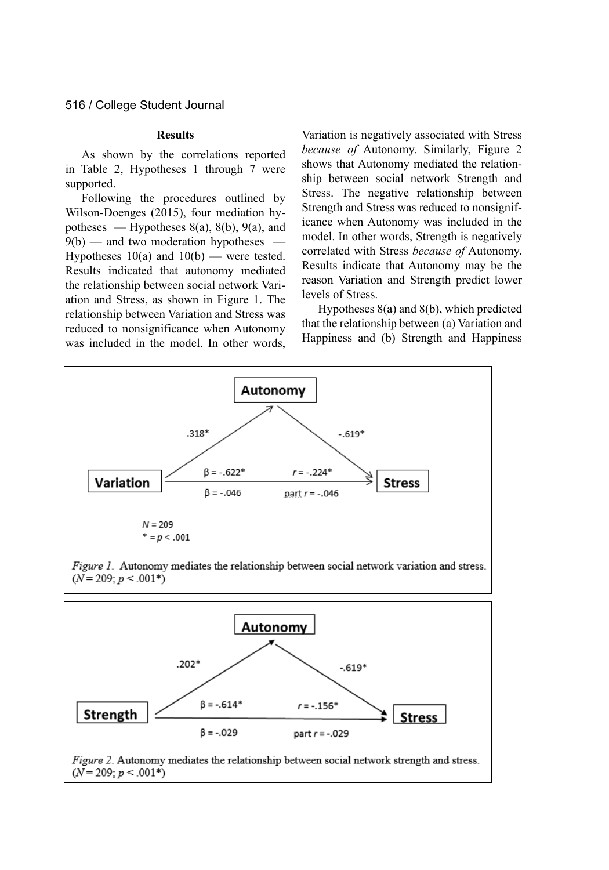#### **Results**

As shown by the correlations reported in Table 2, Hypotheses 1 through 7 were supported.

Following the procedures outlined by Wilson-Doenges (2015), four mediation hypotheses — Hypotheses  $8(a)$ ,  $8(b)$ ,  $9(a)$ , and  $9(b)$  — and two moderation hypotheses — Hypotheses  $10(a)$  and  $10(b)$  — were tested. Results indicated that autonomy mediated the relationship between social network Variation and Stress, as shown in Figure 1. The relationship between Variation and Stress was reduced to nonsignificance when Autonomy was included in the model. In other words, Variation is negatively associated with Stress *because of* Autonomy. Similarly, Figure 2 shows that Autonomy mediated the relationship between social network Strength and Stress. The negative relationship between Strength and Stress was reduced to nonsignificance when Autonomy was included in the model. In other words, Strength is negatively correlated with Stress *because of* Autonomy. Results indicate that Autonomy may be the reason Variation and Strength predict lower levels of Stress.

Hypotheses 8(a) and 8(b), which predicted that the relationship between (a) Variation and Happiness and (b) Strength and Happiness



Figure 1. Autonomy mediates the relationship between social network variation and stress.  $(N = 209; p < .001*)$ 

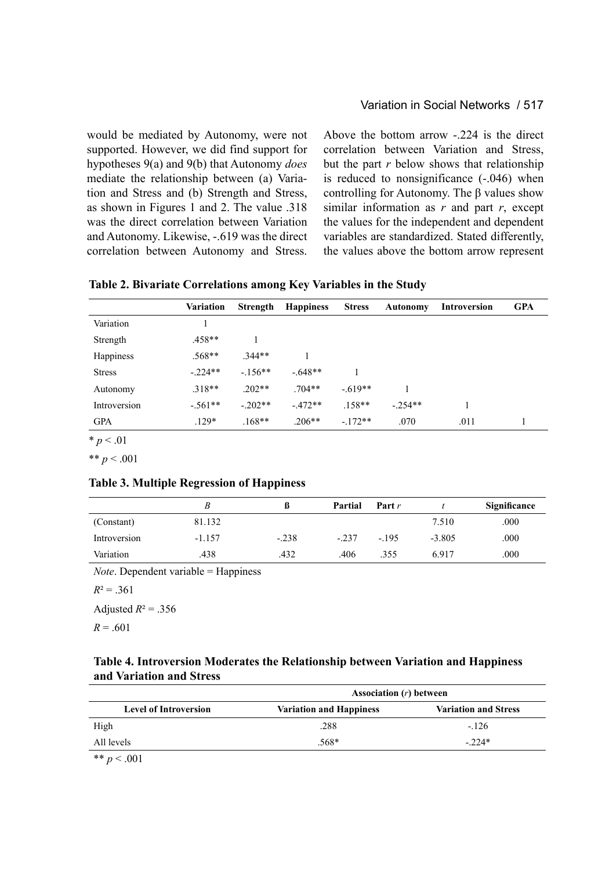## Variation in Social Networks / 517

would be mediated by Autonomy, were not supported. However, we did find support for hypotheses 9(a) and 9(b) that Autonomy *does* mediate the relationship between (a) Variation and Stress and (b) Strength and Stress, as shown in Figures 1 and 2. The value .318 was the direct correlation between Variation and Autonomy. Likewise, -.619 was the direct correlation between Autonomy and Stress. Above the bottom arrow -.224 is the direct correlation between Variation and Stress, but the part *r* below shows that relationship is reduced to nonsignificance (-.046) when controlling for Autonomy. The  $\beta$  values show similar information as *r* and part *r*, except the values for the independent and dependent variables are standardized. Stated differently, the values above the bottom arrow represent

| Table 2. Bivariate Correlations among Key Variables in the Study |  |  |  |
|------------------------------------------------------------------|--|--|--|
|------------------------------------------------------------------|--|--|--|

|               | Variation | Strength  | <b>Happiness</b> | <b>Stress</b> | <b>Autonomy</b> | <b>Introversion</b> | <b>GPA</b> |
|---------------|-----------|-----------|------------------|---------------|-----------------|---------------------|------------|
| Variation     |           |           |                  |               |                 |                     |            |
| Strength      | $.458**$  |           |                  |               |                 |                     |            |
| Happiness     | $.568**$  | $.344**$  |                  |               |                 |                     |            |
| <b>Stress</b> | $-.224**$ | $-.156**$ | $-.648**$        |               |                 |                     |            |
| Autonomy      | $.318**$  | $.202**$  | $.704**$         | $-.619**$     |                 |                     |            |
| Introversion  | $-.561**$ | $-.202**$ | $-.472**$        | $.158**$      | $-.254**$       |                     |            |
| <b>GPA</b>    | $.129*$   | $.168**$  | $.206**$         | $-.172**$     | .070            | .011                |            |

 $* p < .01$ 

\*\*  $p < .001$ 

## **Table 3. Multiple Regression of Happiness**

|              |          |         | Partial | Part $r$ |          | Significance |
|--------------|----------|---------|---------|----------|----------|--------------|
| (Constant)   | 81.132   |         |         |          | 7.510    | .000         |
| Introversion | $-1.157$ | $-.238$ | $-.237$ | $-.195$  | $-3.805$ | .000         |
| Variation    | .438     | .432    | .406    | .355     | 6.917    | .000         |

*Note*. Dependent variable = Happiness

 $R^2 = .361$ 

Adjusted  $R^2 = .356$  $R = .601$ 

## **Table 4. Introversion Moderates the Relationship between Variation and Happiness and Variation and Stress**

|                              | Association $(r)$ between      |                             |  |  |
|------------------------------|--------------------------------|-----------------------------|--|--|
| <b>Level of Introversion</b> | <b>Variation and Happiness</b> | <b>Variation and Stress</b> |  |  |
| High                         | .288                           | $-.126$                     |  |  |
| All levels                   | .568*                          | $-224*$                     |  |  |
|                              |                                |                             |  |  |

\*\* *p* < .001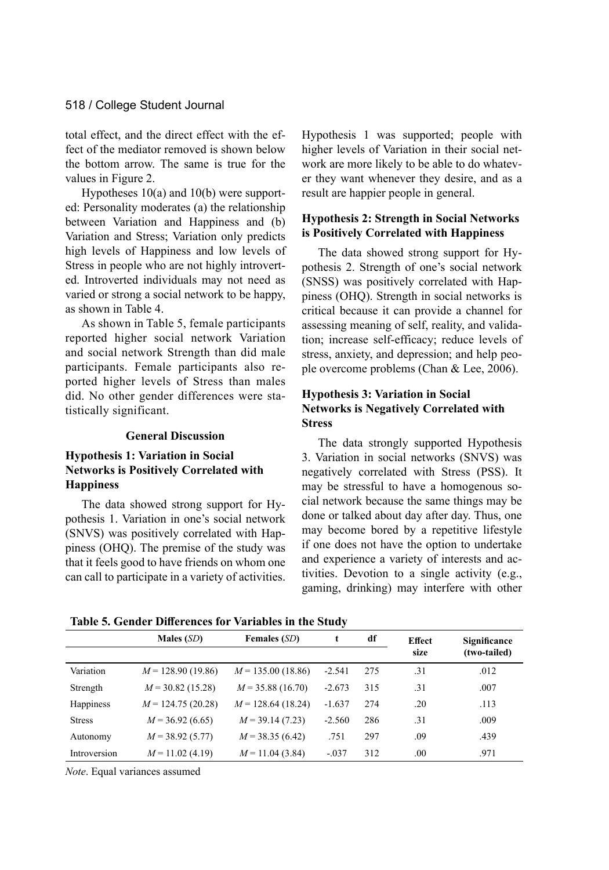total effect, and the direct effect with the effect of the mediator removed is shown below the bottom arrow. The same is true for the values in Figure 2.

Hypotheses 10(a) and 10(b) were supported: Personality moderates (a) the relationship between Variation and Happiness and (b) Variation and Stress; Variation only predicts high levels of Happiness and low levels of Stress in people who are not highly introverted. Introverted individuals may not need as varied or strong a social network to be happy, as shown in Table 4.

As shown in Table 5, female participants reported higher social network Variation and social network Strength than did male participants. Female participants also reported higher levels of Stress than males did. No other gender differences were statistically significant.

#### **General Discussion**

## **Hypothesis 1: Variation in Social Networks is Positively Correlated with Happiness**

The data showed strong support for Hypothesis 1. Variation in one's social network (SNVS) was positively correlated with Happiness (OHQ). The premise of the study was that it feels good to have friends on whom one can call to participate in a variety of activities.

Hypothesis 1 was supported; people with higher levels of Variation in their social network are more likely to be able to do whatever they want whenever they desire, and as a result are happier people in general.

## **Hypothesis 2: Strength in Social Networks is Positively Correlated with Happiness**

The data showed strong support for Hypothesis 2. Strength of one's social network (SNSS) was positively correlated with Happiness (OHQ). Strength in social networks is critical because it can provide a channel for assessing meaning of self, reality, and validation; increase self-efficacy; reduce levels of stress, anxiety, and depression; and help people overcome problems (Chan & Lee, 2006).

## **Hypothesis 3: Variation in Social Networks is Negatively Correlated with Stress**

The data strongly supported Hypothesis 3. Variation in social networks (SNVS) was negatively correlated with Stress (PSS). It may be stressful to have a homogenous social network because the same things may be done or talked about day after day. Thus, one may become bored by a repetitive lifestyle if one does not have the option to undertake and experience a variety of interests and activities. Devotion to a single activity (e.g., gaming, drinking) may interfere with other

| Table 5. Gender Differences for Variables in the Study |  |
|--------------------------------------------------------|--|
|--------------------------------------------------------|--|

|               | Males $(SD)$        | <b>Females (SD)</b> | t        | df  | <b>Effect</b> | Significance |
|---------------|---------------------|---------------------|----------|-----|---------------|--------------|
|               |                     |                     |          |     | size          | (two-tailed) |
| Variation     | $M = 128.90(19.86)$ | $M = 135.00(18.86)$ | $-2.541$ | 275 | .31           | .012         |
| Strength      | $M = 30.82$ (15.28) | $M = 35.88(16.70)$  | $-2.673$ | 315 | .31           | .007         |
| Happiness     | $M = 124.75(20.28)$ | $M = 128.64(18.24)$ | $-1.637$ | 274 | .20           | .113         |
| <b>Stress</b> | $M = 36.92(6.65)$   | $M = 39.14(7.23)$   | $-2.560$ | 286 | .31           | .009         |
| Autonomy      | $M = 38.92(5.77)$   | $M = 38.35(6.42)$   | .751     | 297 | .09           | .439         |
| Introversion  | $M = 11.02(4.19)$   | $M = 11.04(3.84)$   | $-.037$  | 312 | .00           | .971         |

*Note*. Equal variances assumed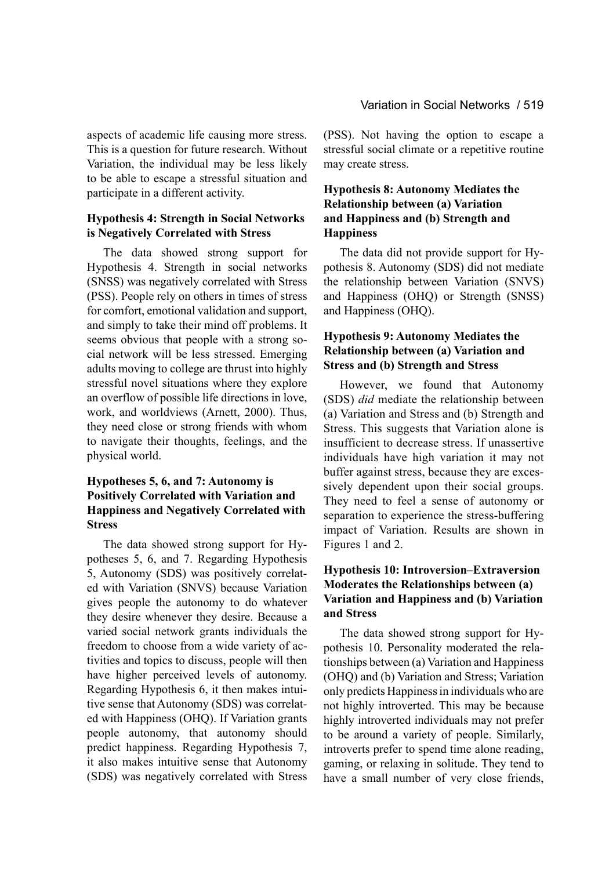aspects of academic life causing more stress. This is a question for future research. Without Variation, the individual may be less likely to be able to escape a stressful situation and participate in a different activity.

## **Hypothesis 4: Strength in Social Networks is Negatively Correlated with Stress**

The data showed strong support for Hypothesis 4. Strength in social networks (SNSS) was negatively correlated with Stress (PSS). People rely on others in times of stress for comfort, emotional validation and support, and simply to take their mind off problems. It seems obvious that people with a strong social network will be less stressed. Emerging adults moving to college are thrust into highly stressful novel situations where they explore an overflow of possible life directions in love, work, and worldviews (Arnett, 2000). Thus, they need close or strong friends with whom to navigate their thoughts, feelings, and the physical world.

## **Hypotheses 5, 6, and 7: Autonomy is Positively Correlated with Variation and Happiness and Negatively Correlated with Stress**

The data showed strong support for Hypotheses 5, 6, and 7. Regarding Hypothesis 5, Autonomy (SDS) was positively correlated with Variation (SNVS) because Variation gives people the autonomy to do whatever they desire whenever they desire. Because a varied social network grants individuals the freedom to choose from a wide variety of activities and topics to discuss, people will then have higher perceived levels of autonomy. Regarding Hypothesis 6, it then makes intuitive sense that Autonomy (SDS) was correlated with Happiness (OHQ). If Variation grants people autonomy, that autonomy should predict happiness. Regarding Hypothesis 7, it also makes intuitive sense that Autonomy (SDS) was negatively correlated with Stress (PSS). Not having the option to escape a stressful social climate or a repetitive routine may create stress.

## **Hypothesis 8: Autonomy Mediates the Relationship between (a) Variation and Happiness and (b) Strength and Happiness**

The data did not provide support for Hypothesis 8. Autonomy (SDS) did not mediate the relationship between Variation (SNVS) and Happiness (OHQ) or Strength (SNSS) and Happiness (OHQ).

## **Hypothesis 9: Autonomy Mediates the Relationship between (a) Variation and Stress and (b) Strength and Stress**

However, we found that Autonomy (SDS) *did* mediate the relationship between (a) Variation and Stress and (b) Strength and Stress. This suggests that Variation alone is insufficient to decrease stress. If unassertive individuals have high variation it may not buffer against stress, because they are excessively dependent upon their social groups. They need to feel a sense of autonomy or separation to experience the stress-buffering impact of Variation. Results are shown in Figures 1 and 2.

## **Hypothesis 10: Introversion–Extraversion Moderates the Relationships between (a) Variation and Happiness and (b) Variation and Stress**

The data showed strong support for Hypothesis 10. Personality moderated the relationships between (a) Variation and Happiness (OHQ) and (b) Variation and Stress; Variation only predicts Happiness in individuals who are not highly introverted. This may be because highly introverted individuals may not prefer to be around a variety of people. Similarly, introverts prefer to spend time alone reading, gaming, or relaxing in solitude. They tend to have a small number of very close friends,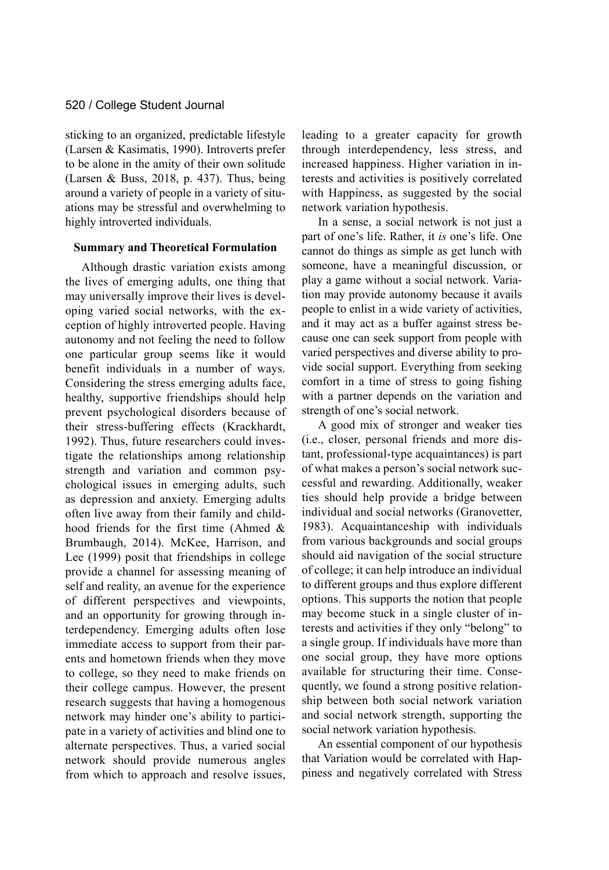sticking to an organized, predictable lifestyle (Larsen & Kasimatis, 1990). Introverts prefer to be alone in the amity of their own solitude (Larsen & Buss, 2018, p. 437). Thus, being around a variety of people in a variety of situations may be stressful and overwhelming to highly introverted individuals.

#### **Summary and Theoretical Formulation**

Although drastic variation exists among the lives of emerging adults, one thing that may universally improve their lives is developing varied social networks, with the exception of highly introverted people. Having autonomy and not feeling the need to follow one particular group seems like it would benefit individuals in a number of ways. Considering the stress emerging adults face, healthy, supportive friendships should help prevent psychological disorders because of their stress-buffering effects (Krackhardt, 1992). Thus, future researchers could investigate the relationships among relationship strength and variation and common psychological issues in emerging adults, such as depression and anxiety. Emerging adults often live away from their family and childhood friends for the first time (Ahmed & Brumbaugh, 2014). McKee, Harrison, and Lee (1999) posit that friendships in college provide a channel for assessing meaning of self and reality, an avenue for the experience of different perspectives and viewpoints, and an opportunity for growing through interdependency. Emerging adults often lose immediate access to support from their parents and hometown friends when they move to college, so they need to make friends on their college campus. However, the present research suggests that having a homogenous network may hinder one's ability to participate in a variety of activities and blind one to alternate perspectives. Thus, a varied social network should provide numerous angles from which to approach and resolve issues, leading to a greater capacity for growth through interdependency, less stress, and increased happiness. Higher variation in interests and activities is positively correlated with Happiness, as suggested by the social network variation hypothesis.

In a sense, a social network is not just a part of one's life. Rather, it *is* one's life. One cannot do things as simple as get lunch with someone, have a meaningful discussion, or play a game without a social network. Variation may provide autonomy because it avails people to enlist in a wide variety of activities, and it may act as a buffer against stress because one can seek support from people with varied perspectives and diverse ability to provide social support. Everything from seeking comfort in a time of stress to going fishing with a partner depends on the variation and strength of one's social network.

A good mix of stronger and weaker ties (i.e., closer, personal friends and more distant, professional-type acquaintances) is part of what makes a person's social network successful and rewarding. Additionally, weaker ties should help provide a bridge between individual and social networks (Granovetter, 1983). Acquaintanceship with individuals from various backgrounds and social groups should aid navigation of the social structure of college; it can help introduce an individual to different groups and thus explore different options. This supports the notion that people may become stuck in a single cluster of interests and activities if they only "belong" to a single group. If individuals have more than one social group, they have more options available for structuring their time. Consequently, we found a strong positive relationship between both social network variation and social network strength, supporting the social network variation hypothesis.

An essential component of our hypothesis that Variation would be correlated with Happiness and negatively correlated with Stress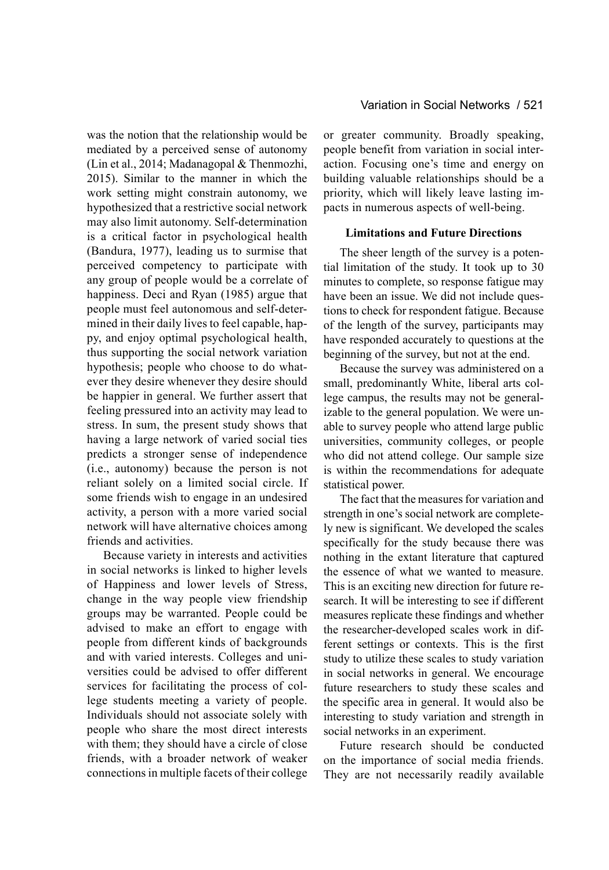was the notion that the relationship would be mediated by a perceived sense of autonomy (Lin et al., 2014; Madanagopal & Thenmozhi, 2015). Similar to the manner in which the work setting might constrain autonomy, we hypothesized that a restrictive social network may also limit autonomy. Self-determination is a critical factor in psychological health (Bandura, 1977), leading us to surmise that perceived competency to participate with any group of people would be a correlate of happiness. Deci and Ryan (1985) argue that people must feel autonomous and self-determined in their daily lives to feel capable, happy, and enjoy optimal psychological health, thus supporting the social network variation hypothesis; people who choose to do whatever they desire whenever they desire should be happier in general. We further assert that feeling pressured into an activity may lead to stress. In sum, the present study shows that having a large network of varied social ties predicts a stronger sense of independence (i.e., autonomy) because the person is not reliant solely on a limited social circle. If some friends wish to engage in an undesired activity, a person with a more varied social network will have alternative choices among friends and activities.

Because variety in interests and activities in social networks is linked to higher levels of Happiness and lower levels of Stress, change in the way people view friendship groups may be warranted. People could be advised to make an effort to engage with people from different kinds of backgrounds and with varied interests. Colleges and universities could be advised to offer different services for facilitating the process of college students meeting a variety of people. Individuals should not associate solely with people who share the most direct interests with them; they should have a circle of close friends, with a broader network of weaker connections in multiple facets of their college or greater community. Broadly speaking, people benefit from variation in social interaction. Focusing one's time and energy on building valuable relationships should be a priority, which will likely leave lasting impacts in numerous aspects of well-being.

#### **Limitations and Future Directions**

The sheer length of the survey is a potential limitation of the study. It took up to 30 minutes to complete, so response fatigue may have been an issue. We did not include questions to check for respondent fatigue. Because of the length of the survey, participants may have responded accurately to questions at the beginning of the survey, but not at the end.

Because the survey was administered on a small, predominantly White, liberal arts college campus, the results may not be generalizable to the general population. We were unable to survey people who attend large public universities, community colleges, or people who did not attend college. Our sample size is within the recommendations for adequate statistical power.

The fact that the measures for variation and strength in one's social network are completely new is significant. We developed the scales specifically for the study because there was nothing in the extant literature that captured the essence of what we wanted to measure. This is an exciting new direction for future research. It will be interesting to see if different measures replicate these findings and whether the researcher-developed scales work in different settings or contexts. This is the first study to utilize these scales to study variation in social networks in general. We encourage future researchers to study these scales and the specific area in general. It would also be interesting to study variation and strength in social networks in an experiment.

Future research should be conducted on the importance of social media friends. They are not necessarily readily available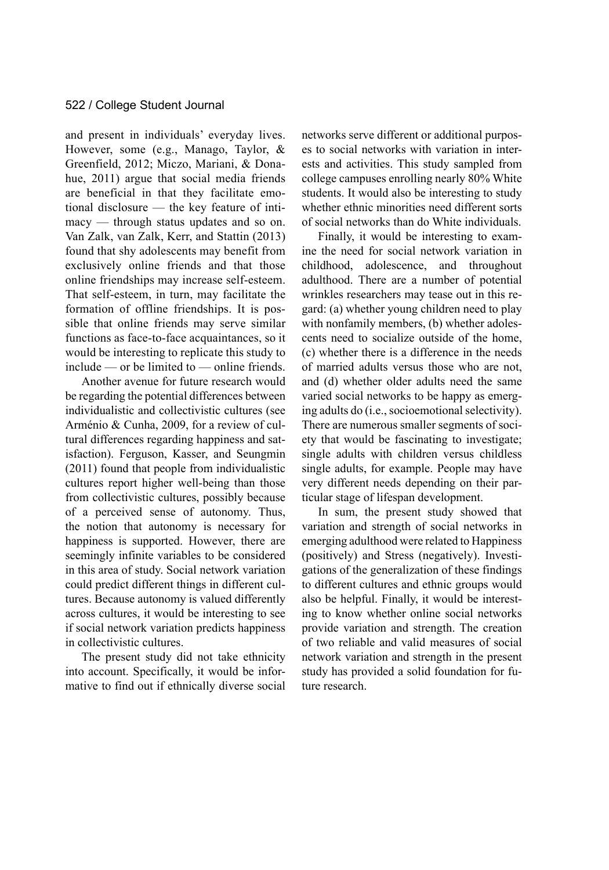and present in individuals' everyday lives. However, some (e.g., Manago, Taylor, & Greenfield, 2012; Miczo, Mariani, & Donahue, 2011) argue that social media friends are beneficial in that they facilitate emotional disclosure — the key feature of intimacy — through status updates and so on. Van Zalk, van Zalk, Kerr, and Stattin (2013) found that shy adolescents may benefit from exclusively online friends and that those online friendships may increase self-esteem. That self-esteem, in turn, may facilitate the formation of offline friendships. It is possible that online friends may serve similar functions as face-to-face acquaintances, so it would be interesting to replicate this study to include — or be limited to — online friends.

Another avenue for future research would be regarding the potential differences between individualistic and collectivistic cultures (see Arménio & Cunha, 2009, for a review of cultural differences regarding happiness and satisfaction). Ferguson, Kasser, and Seungmin (2011) found that people from individualistic cultures report higher well-being than those from collectivistic cultures, possibly because of a perceived sense of autonomy. Thus, the notion that autonomy is necessary for happiness is supported. However, there are seemingly infinite variables to be considered in this area of study. Social network variation could predict different things in different cultures. Because autonomy is valued differently across cultures, it would be interesting to see if social network variation predicts happiness in collectivistic cultures.

The present study did not take ethnicity into account. Specifically, it would be informative to find out if ethnically diverse social networks serve different or additional purposes to social networks with variation in interests and activities. This study sampled from college campuses enrolling nearly 80% White students. It would also be interesting to study whether ethnic minorities need different sorts of social networks than do White individuals.

Finally, it would be interesting to examine the need for social network variation in childhood, adolescence, and throughout adulthood. There are a number of potential wrinkles researchers may tease out in this regard: (a) whether young children need to play with nonfamily members, (b) whether adolescents need to socialize outside of the home, (c) whether there is a difference in the needs of married adults versus those who are not, and (d) whether older adults need the same varied social networks to be happy as emerging adults do (i.e., socioemotional selectivity). There are numerous smaller segments of society that would be fascinating to investigate; single adults with children versus childless single adults, for example. People may have very different needs depending on their particular stage of lifespan development.

In sum, the present study showed that variation and strength of social networks in emerging adulthood were related to Happiness (positively) and Stress (negatively). Investigations of the generalization of these findings to different cultures and ethnic groups would also be helpful. Finally, it would be interesting to know whether online social networks provide variation and strength. The creation of two reliable and valid measures of social network variation and strength in the present study has provided a solid foundation for future research.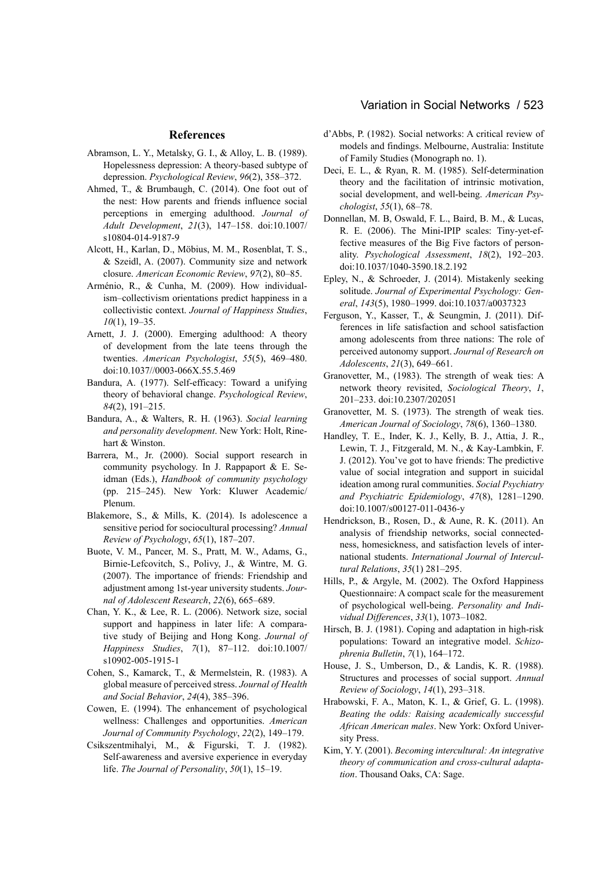#### **References**

- Abramson, L. Y., Metalsky, G. I., & Alloy, L. B. (1989). Hopelessness depression: A theory-based subtype of depression. *Psychological Review*, *96*(2), 358–372.
- Ahmed, T., & Brumbaugh, C. (2014). One foot out of the nest: How parents and friends influence social perceptions in emerging adulthood. *Journal of Adult Development*, *21*(3), 147–158. doi:10.1007/ s10804-014-9187-9
- Alcott, H., Karlan, D., Möbius, M. M., Rosenblat, T. S., & Szeidl, A. (2007). Community size and network closure. *American Economic Review*, *97*(2), 80–85.
- Arménio, R., & Cunha, M. (2009). How individualism–collectivism orientations predict happiness in a collectivistic context. *Journal of Happiness Studies*, *10*(1), 19–35.
- Arnett, J. J. (2000). Emerging adulthood: A theory of development from the late teens through the twenties. *American Psychologist*, *55*(5), 469–480. doi:10.1037//0003-066X.55.5.469
- Bandura, A. (1977). Self-efficacy: Toward a unifying theory of behavioral change. *Psychological Review*, *84*(2), 191–215.
- Bandura, A., & Walters, R. H. (1963). *Social learning and personality development*. New York: Holt, Rinehart & Winston.
- Barrera, M., Jr. (2000). Social support research in community psychology. In J. Rappaport & E. Seidman (Eds.), *Handbook of community psychology* (pp. 215–245). New York: Kluwer Academic/ Plenum.
- Blakemore, S., & Mills, K. (2014). Is adolescence a sensitive period for sociocultural processing? *Annual Review of Psychology*, *65*(1), 187–207.
- Buote, V. M., Pancer, M. S., Pratt, M. W., Adams, G., Birnie-Lefcovitch, S., Polivy, J., & Wintre, M. G. (2007). The importance of friends: Friendship and adjustment among 1st-year university students. *Journal of Adolescent Research*, *22*(6), 665–689.
- Chan, Y. K., & Lee, R. L. (2006). Network size, social support and happiness in later life: A comparative study of Beijing and Hong Kong. *Journal of Happiness Studies*, *7*(1), 87–112. doi:10.1007/ s10902-005-1915-1
- Cohen, S., Kamarck, T., & Mermelstein, R. (1983). A global measure of perceived stress. *Journal of Health and Social Behavior*, *24*(4), 385–396.
- Cowen, E. (1994). The enhancement of psychological wellness: Challenges and opportunities. *American Journal of Community Psychology*, *22*(2), 149–179.
- Csikszentmihalyi, M., & Figurski, T. J. (1982). Self-awareness and aversive experience in everyday life. *The Journal of Personality*, *50*(1), 15–19.

#### Variation in Social Networks / 523

- d'Abbs, P. (1982). Social networks: A critical review of models and findings. Melbourne, Australia: Institute of Family Studies (Monograph no. 1).
- Deci, E. L., & Ryan, R. M. (1985). Self-determination theory and the facilitation of intrinsic motivation, social development, and well-being. *American Psychologist*, *55*(1), 68–78.
- Donnellan, M. B, Oswald, F. L., Baird, B. M., & Lucas, R. E. (2006). The Mini-IPIP scales: Tiny-yet-effective measures of the Big Five factors of personality. *Psychological Assessment*, *18*(2), 192–203. doi:10.1037/1040-3590.18.2.192
- Epley, N., & Schroeder, J. (2014). Mistakenly seeking solitude. *Journal of Experimental Psychology: General*, *143*(5), 1980–1999. doi:10.1037/a0037323
- Ferguson, Y., Kasser, T., & Seungmin, J. (2011). Differences in life satisfaction and school satisfaction among adolescents from three nations: The role of perceived autonomy support. *Journal of Research on Adolescents*, *21*(3), 649–661.
- Granovetter, M., (1983). The strength of weak ties: A network theory revisited, *Sociological Theory*, *1*, 201–233. doi:10.2307/202051
- Granovetter, M. S. (1973). The strength of weak ties. *American Journal of Sociology*, *78*(6), 1360–1380.
- Handley, T. E., Inder, K. J., Kelly, B. J., Attia, J. R., Lewin, T. J., Fitzgerald, M. N., & Kay-Lambkin, F. J. (2012). You've got to have friends: The predictive value of social integration and support in suicidal ideation among rural communities. *Social Psychiatry and Psychiatric Epidemiology*, *47*(8), 1281–1290. doi:10.1007/s00127-011-0436-y
- Hendrickson, B., Rosen, D., & Aune, R. K. (2011). An analysis of friendship networks, social connectedness, homesickness, and satisfaction levels of international students. *International Journal of Intercultural Relations*, *35*(1) 281–295.
- Hills, P., & Argyle, M. (2002). The Oxford Happiness Questionnaire: A compact scale for the measurement of psychological well-being. *Personality and Individual Differences*, *33*(1), 1073–1082.
- Hirsch, B. J. (1981). Coping and adaptation in high-risk populations: Toward an integrative model. *Schizophrenia Bulletin*, *7*(1), 164–172.
- House, J. S., Umberson, D., & Landis, K. R. (1988). Structures and processes of social support. *Annual Review of Sociology*, *14*(1), 293–318.
- Hrabowski, F. A., Maton, K. I., & Grief, G. L. (1998). *Beating the odds: Raising academically successful African American males*. New York: Oxford University Press.
- Kim, Y. Y. (2001). *Becoming intercultural: An integrative theory of communication and cross-cultural adaptation*. Thousand Oaks, CA: Sage.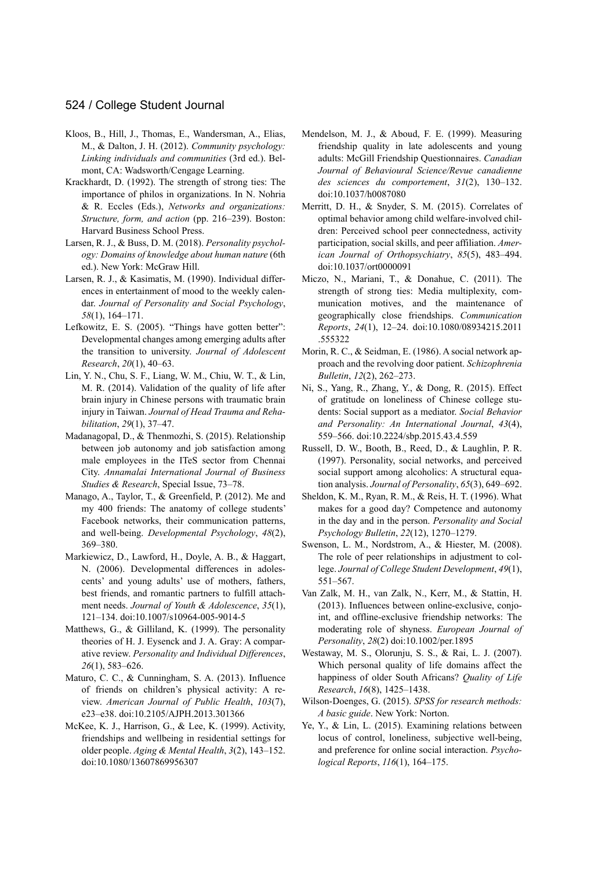- Kloos, B., Hill, J., Thomas, E., Wandersman, A., Elias, M., & Dalton, J. H. (2012). *Community psychology: Linking individuals and communities* (3rd ed.). Belmont, CA: Wadsworth/Cengage Learning.
- Krackhardt, D. (1992). The strength of strong ties: The importance of philos in organizations. In N. Nohria & R. Eccles (Eds.), *Networks and organizations: Structure, form, and action* (pp. 216–239). Boston: Harvard Business School Press.
- Larsen, R. J., & Buss, D. M. (2018). *Personality psychology: Domains of knowledge about human nature* (6th ed.). New York: McGraw Hill.
- Larsen, R. J., & Kasimatis, M. (1990). Individual differences in entertainment of mood to the weekly calendar. *Journal of Personality and Social Psychology*, *58*(1), 164–171.
- Lefkowitz, E. S. (2005). "Things have gotten better": Developmental changes among emerging adults after the transition to university. *Journal of Adolescent Research*, *20*(1), 40–63.
- Lin, Y. N., Chu, S. F., Liang, W. M., Chiu, W. T., & Lin, M. R. (2014). Validation of the quality of life after brain injury in Chinese persons with traumatic brain injury in Taiwan. *Journal of Head Trauma and Rehabilitation*, *29*(1), 37–47.
- Madanagopal, D., & Thenmozhi, S. (2015). Relationship between job autonomy and job satisfaction among male employees in the ITeS sector from Chennai City. *Annamalai International Journal of Business Studies & Research*, Special Issue, 73–78.
- Manago, A., Taylor, T., & Greenfield, P. (2012). Me and my 400 friends: The anatomy of college students' Facebook networks, their communication patterns, and well-being. *Developmental Psychology*, *48*(2), 369–380.
- Markiewicz, D., Lawford, H., Doyle, A. B., & Haggart, N. (2006). Developmental differences in adolescents' and young adults' use of mothers, fathers, best friends, and romantic partners to fulfill attachment needs. *Journal of Youth & Adolescence*, *35*(1), 121–134. doi:10.1007/s10964-005-9014-5
- Matthews, G., & Gilliland, K. (1999). The personality theories of H. J. Eysenck and J. A. Gray: A comparative review. *Personality and Individual Differences*, *26*(1), 583–626.
- Maturo, C. C., & Cunningham, S. A. (2013). Influence of friends on children's physical activity: A review. *American Journal of Public Health*, *103*(7), e23–e38. doi:10.2105/AJPH.2013.301366
- McKee, K. J., Harrison, G., & Lee, K. (1999). Activity, friendships and wellbeing in residential settings for older people. *Aging & Mental Health*, *3*(2), 143–152. doi:10.1080/13607869956307
- Mendelson, M. J., & Aboud, F. E. (1999). Measuring friendship quality in late adolescents and young adults: McGill Friendship Questionnaires. *Canadian Journal of Behavioural Science/Revue canadienne des sciences du comportement*, *31*(2), 130–132. doi:10.1037/h0087080
- Merritt, D. H., & Snyder, S. M. (2015). Correlates of optimal behavior among child welfare-involved children: Perceived school peer connectedness, activity participation, social skills, and peer affiliation. *American Journal of Orthopsychiatry*, *85*(5), 483–494. doi:10.1037/ort0000091
- Miczo, N., Mariani, T., & Donahue, C. (2011). The strength of strong ties: Media multiplexity, communication motives, and the maintenance of geographically close friendships. *Communication Reports*, *24*(1), 12–24. doi:10.1080/08934215.2011 .555322
- Morin, R. C., & Seidman, E. (1986). A social network approach and the revolving door patient. *Schizophrenia Bulletin*, *12*(2), 262–273.
- Ni, S., Yang, R., Zhang, Y., & Dong, R. (2015). Effect of gratitude on loneliness of Chinese college students: Social support as a mediator. *Social Behavior and Personality: An International Journal*, *43*(4), 559–566. doi:10.2224/sbp.2015.43.4.559
- Russell, D. W., Booth, B., Reed, D., & Laughlin, P. R. (1997). Personality, social networks, and perceived social support among alcoholics: A structural equation analysis. *Journal of Personality*, *65*(3), 649–692.
- Sheldon, K. M., Ryan, R. M., & Reis, H. T. (1996). What makes for a good day? Competence and autonomy in the day and in the person. *Personality and Social Psychology Bulletin*, *22*(12), 1270–1279.
- Swenson, L. M., Nordstrom, A., & Hiester, M. (2008). The role of peer relationships in adjustment to college. *Journal of College Student Development*, *49*(1), 551–567.
- Van Zalk, M. H., van Zalk, N., Kerr, M., & Stattin, H. (2013). Influences between online-exclusive, conjoint, and offline-exclusive friendship networks: The moderating role of shyness. *European Journal of Personality*, *28*(2) doi:10.1002/per.1895
- Westaway, M. S., Olorunju, S. S., & Rai, L. J. (2007). Which personal quality of life domains affect the happiness of older South Africans? *Quality of Life Research*, *16*(8), 1425–1438.
- Wilson-Doenges, G. (2015). *SPSS for research methods: A basic guide*. New York: Norton.
- Ye, Y., & Lin, L. (2015). Examining relations between locus of control, loneliness, subjective well-being, and preference for online social interaction. *Psychological Reports*, *116*(1), 164–175.